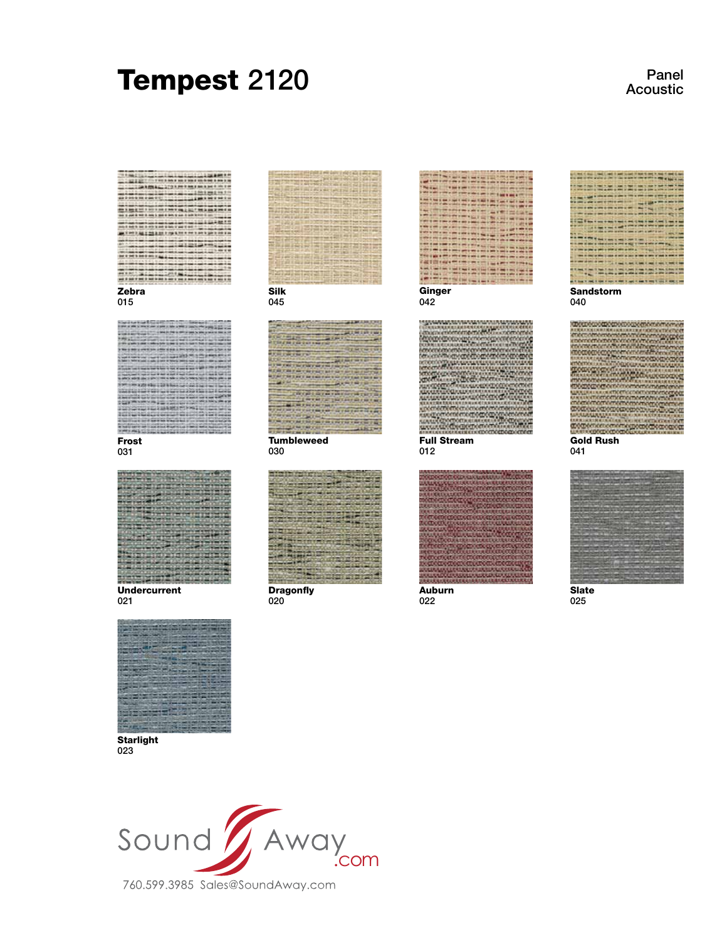# Tempest 2120

Panel Acoustic





023